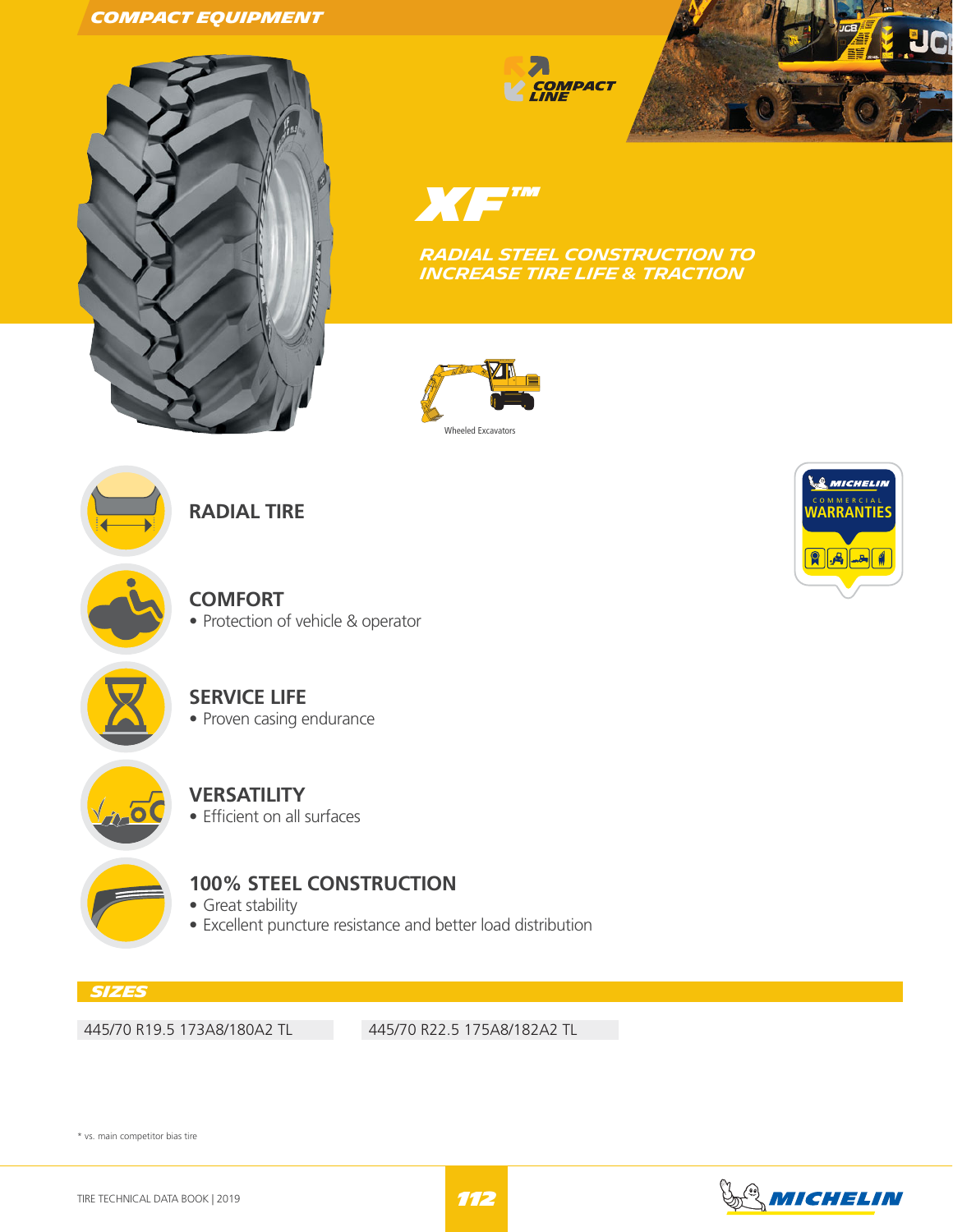#### **Compact Equipment**



**EXECUTE COMPACT** 



X*XE* ™

**RADIAL STEEL CONSTRUCTION TO INCREASE Tire LIFE & TRACTION**





**RADIAL TIRE**

**COMFORT** • Protection of vehicle & operator



## **SERVICE LIFE**

• Proven casing endurance



# **VERSATILITY**

• Efficient on all surfaces



# **100% STEEL CONSTRUCTION**

• Great stability

• Excellent puncture resistance and better load distribution

### **Sizes**

445/70 R19.5 173A8/180A2 TL 445/70 R22.5 175A8/182A2 TL

\* vs. main competitor bias tire

![](_page_0_Picture_26.jpeg)

![](_page_0_Picture_27.jpeg)